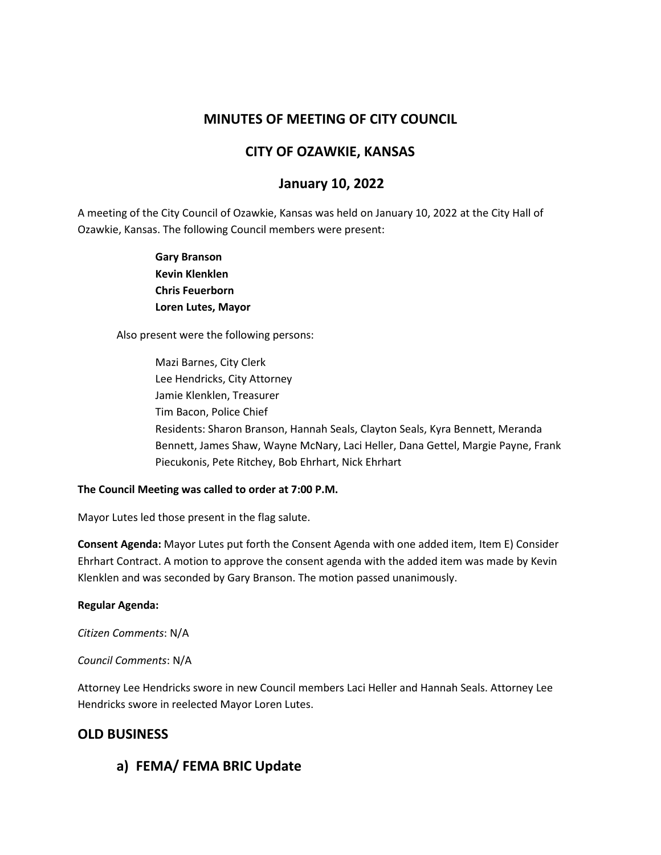# **MINUTES OF MEETING OF CITY COUNCIL**

## **CITY OF OZAWKIE, KANSAS**

# **January 10, 2022**

A meeting of the City Council of Ozawkie, Kansas was held on January 10, 2022 at the City Hall of Ozawkie, Kansas. The following Council members were present:

> **Gary Branson Kevin Klenklen Chris Feuerborn Loren Lutes, Mayor**

Also present were the following persons:

Mazi Barnes, City Clerk Lee Hendricks, City Attorney Jamie Klenklen, Treasurer Tim Bacon, Police Chief Residents: Sharon Branson, Hannah Seals, Clayton Seals, Kyra Bennett, Meranda Bennett, James Shaw, Wayne McNary, Laci Heller, Dana Gettel, Margie Payne, Frank Piecukonis, Pete Ritchey, Bob Ehrhart, Nick Ehrhart

#### **The Council Meeting was called to order at 7:00 P.M.**

Mayor Lutes led those present in the flag salute.

**Consent Agenda:** Mayor Lutes put forth the Consent Agenda with one added item, Item E) Consider Ehrhart Contract. A motion to approve the consent agenda with the added item was made by Kevin Klenklen and was seconded by Gary Branson. The motion passed unanimously.

#### **Regular Agenda:**

*Citizen Comments*: N/A

#### *Council Comments*: N/A

Attorney Lee Hendricks swore in new Council members Laci Heller and Hannah Seals. Attorney Lee Hendricks swore in reelected Mayor Loren Lutes.

## **OLD BUSINESS**

**a) FEMA/ FEMA BRIC Update**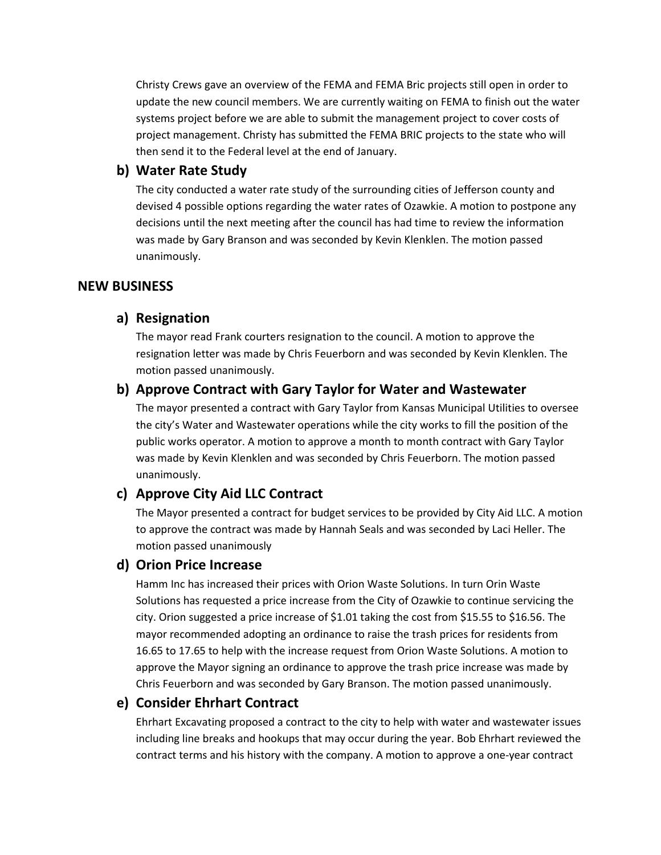Christy Crews gave an overview of the FEMA and FEMA Bric projects still open in order to update the new council members. We are currently waiting on FEMA to finish out the water systems project before we are able to submit the management project to cover costs of project management. Christy has submitted the FEMA BRIC projects to the state who will then send it to the Federal level at the end of January.

### **b) Water Rate Study**

The city conducted a water rate study of the surrounding cities of Jefferson county and devised 4 possible options regarding the water rates of Ozawkie. A motion to postpone any decisions until the next meeting after the council has had time to review the information was made by Gary Branson and was seconded by Kevin Klenklen. The motion passed unanimously.

## **NEW BUSINESS**

## **a) Resignation**

The mayor read Frank courters resignation to the council. A motion to approve the resignation letter was made by Chris Feuerborn and was seconded by Kevin Klenklen. The motion passed unanimously.

## **b) Approve Contract with Gary Taylor for Water and Wastewater**

The mayor presented a contract with Gary Taylor from Kansas Municipal Utilities to oversee the city's Water and Wastewater operations while the city works to fill the position of the public works operator. A motion to approve a month to month contract with Gary Taylor was made by Kevin Klenklen and was seconded by Chris Feuerborn. The motion passed unanimously.

## **c) Approve City Aid LLC Contract**

The Mayor presented a contract for budget services to be provided by City Aid LLC. A motion to approve the contract was made by Hannah Seals and was seconded by Laci Heller. The motion passed unanimously

## **d) Orion Price Increase**

Hamm Inc has increased their prices with Orion Waste Solutions. In turn Orin Waste Solutions has requested a price increase from the City of Ozawkie to continue servicing the city. Orion suggested a price increase of \$1.01 taking the cost from \$15.55 to \$16.56. The mayor recommended adopting an ordinance to raise the trash prices for residents from 16.65 to 17.65 to help with the increase request from Orion Waste Solutions. A motion to approve the Mayor signing an ordinance to approve the trash price increase was made by Chris Feuerborn and was seconded by Gary Branson. The motion passed unanimously.

## **e) Consider Ehrhart Contract**

Ehrhart Excavating proposed a contract to the city to help with water and wastewater issues including line breaks and hookups that may occur during the year. Bob Ehrhart reviewed the contract terms and his history with the company. A motion to approve a one-year contract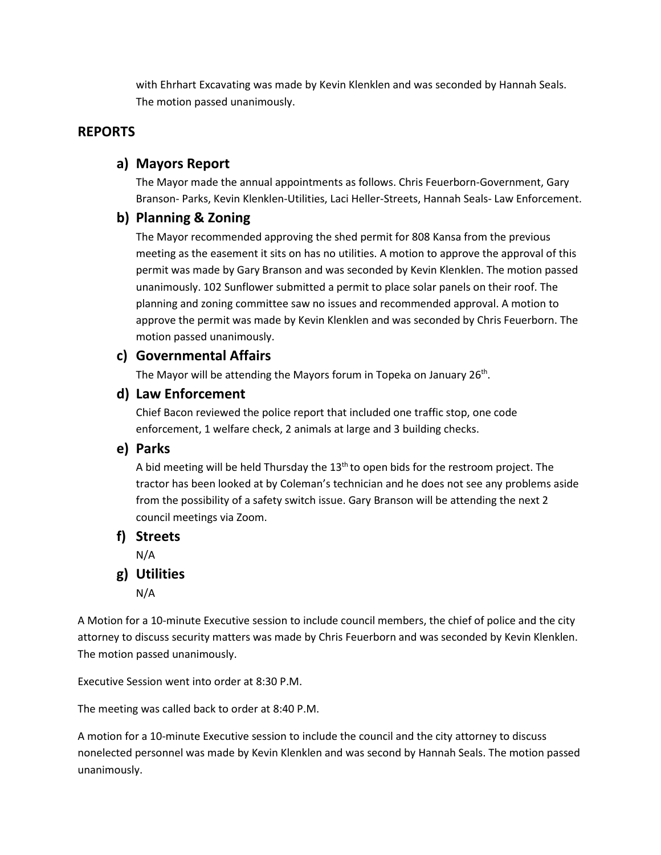with Ehrhart Excavating was made by Kevin Klenklen and was seconded by Hannah Seals. The motion passed unanimously.

## **REPORTS**

## **a) Mayors Report**

The Mayor made the annual appointments as follows. Chris Feuerborn-Government, Gary Branson- Parks, Kevin Klenklen-Utilities, Laci Heller-Streets, Hannah Seals- Law Enforcement.

## **b) Planning & Zoning**

The Mayor recommended approving the shed permit for 808 Kansa from the previous meeting as the easement it sits on has no utilities. A motion to approve the approval of this permit was made by Gary Branson and was seconded by Kevin Klenklen. The motion passed unanimously. 102 Sunflower submitted a permit to place solar panels on their roof. The planning and zoning committee saw no issues and recommended approval. A motion to approve the permit was made by Kevin Klenklen and was seconded by Chris Feuerborn. The motion passed unanimously.

### **c) Governmental Affairs**

The Mayor will be attending the Mayors forum in Topeka on January 26<sup>th</sup>.

#### **d) Law Enforcement**

Chief Bacon reviewed the police report that included one traffic stop, one code enforcement, 1 welfare check, 2 animals at large and 3 building checks.

#### **e) Parks**

A bid meeting will be held Thursday the  $13<sup>th</sup>$  to open bids for the restroom project. The tractor has been looked at by Coleman's technician and he does not see any problems aside from the possibility of a safety switch issue. Gary Branson will be attending the next 2 council meetings via Zoom.

#### **f) Streets**

N/A

**g) Utilities**

N/A

A Motion for a 10-minute Executive session to include council members, the chief of police and the city attorney to discuss security matters was made by Chris Feuerborn and was seconded by Kevin Klenklen. The motion passed unanimously.

Executive Session went into order at 8:30 P.M.

The meeting was called back to order at 8:40 P.M.

A motion for a 10-minute Executive session to include the council and the city attorney to discuss nonelected personnel was made by Kevin Klenklen and was second by Hannah Seals. The motion passed unanimously.